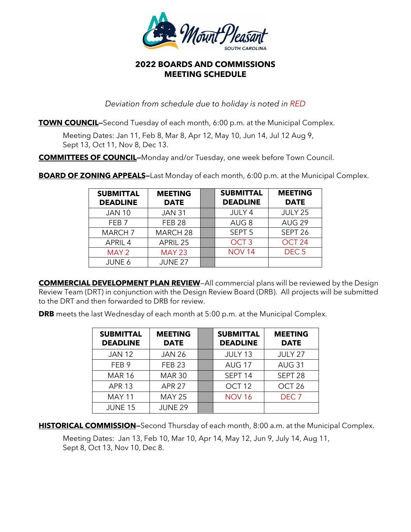

## **2022 BOARDS AND COMMISSIONS MEETING SCHEDULE**

*Deviation from schedule due to holiday is noted in RED*

**TOWN COUNCIL-**Second Tuesday of each month, 6:00 p.m. at the Municipal Complex.

Meeting Dates: Jan 11, Feb 8, Mar 8, Apr 12, May 10, Jun 14, Jul 12 Aug 9, Sept 13, Oct 11, Nov 8, Dec 13.

**COMMITTEES OF COUNCIL—**Monday and/or Tuesday, one week before Town Council.

**BOARD OF ZONING APPEALS-**Last Monday of each month, 6:00 p.m. at the Municipal Complex.

| <b>SUBMITTAL</b><br><b>DEADLINE</b> | <b>MEETING</b><br><b>DATE</b> | <b>SUBMITTAL</b><br><b>DEADLINE</b> | <b>MEETING</b><br><b>DATE</b> |
|-------------------------------------|-------------------------------|-------------------------------------|-------------------------------|
| <b>JAN 10</b>                       | <b>JAN 31</b>                 | JULY 4                              | JULY 25                       |
| FFB <sub>7</sub>                    | <b>FEB 28</b>                 | AUG <sub>8</sub>                    | AUG <sub>29</sub>             |
| <b>MARCH 7</b>                      | MARCH <sub>28</sub>           | SEPT <sub>5</sub>                   | SEPT <sub>26</sub>            |
| APRIL 4                             | APRIL 25                      | OCT <sub>3</sub>                    | OCT <sub>24</sub>             |
| MAY 2                               | <b>MAY 23</b>                 | <b>NOV 14</b>                       | DEC <sub>5</sub>              |
| JUNE 6                              | <b>JUNE 27</b>                |                                     |                               |

**COMMERCIAL DEVELOPMENT PLAN REVIEW**—All commercial plans will be reviewed by the Design Review Team (DRT) in conjunction with the Design Review Board (DRB). All projects will be submitted to the DRT and then forwarded to DRB for review.

**DRB** meets the last Wednesday of each month at 5:00 p.m. at the Municipal Complex.

| <b>SUBMITTAL</b><br><b>DEADLINE</b> | <b>MEETING</b><br><b>DATE</b> | <b>SUBMITTAL</b><br><b>DEADLINE</b> | <b>MEETING</b><br><b>DATE</b> |
|-------------------------------------|-------------------------------|-------------------------------------|-------------------------------|
| <b>JAN 12</b>                       | <b>JAN 26</b>                 | JULY 13                             | JULY 27                       |
| FEB <sub>9</sub>                    | <b>FEB 23</b>                 | <b>AUG 17</b>                       | <b>AUG 31</b>                 |
| <b>MAR 16</b>                       | <b>MAR 30</b>                 | SEPT <sub>14</sub>                  | SEPT <sub>28</sub>            |
| <b>APR 13</b>                       | <b>APR 27</b>                 | OCT <sub>12</sub>                   | OCT <sub>26</sub>             |
| <b>MAY 11</b>                       | <b>MAY 25</b>                 | <b>NOV 16</b>                       | DEC <sub>7</sub>              |
| <b>JUNE 15</b>                      | <b>JUNE 29</b>                |                                     |                               |

**HISTORICAL COMMISSION**–Second Thursday of each month, 8:00 a.m. at the Municipal Complex.

Meeting Dates: Jan 13, Feb 10, Mar 10, Apr 14, May 12, Jun 9, July 14, Aug 11, Sept 8, Oct 13, Nov 10, Dec 8.